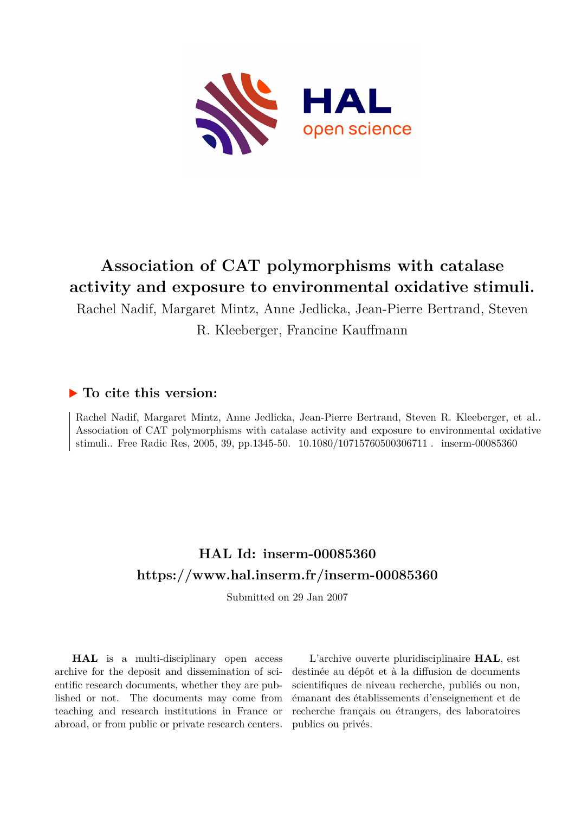

# **Association of CAT polymorphisms with catalase activity and exposure to environmental oxidative stimuli.**

Rachel Nadif, Margaret Mintz, Anne Jedlicka, Jean-Pierre Bertrand, Steven

R. Kleeberger, Francine Kauffmann

### **To cite this version:**

Rachel Nadif, Margaret Mintz, Anne Jedlicka, Jean-Pierre Bertrand, Steven R. Kleeberger, et al.. Association of CAT polymorphisms with catalase activity and exposure to environmental oxidative stimuli.. Free Radic Res, 2005, 39, pp.1345-50. 10.1080/10715760500306711 . inserm-00085360

## **HAL Id: inserm-00085360 <https://www.hal.inserm.fr/inserm-00085360>**

Submitted on 29 Jan 2007

**HAL** is a multi-disciplinary open access archive for the deposit and dissemination of scientific research documents, whether they are published or not. The documents may come from teaching and research institutions in France or abroad, or from public or private research centers.

L'archive ouverte pluridisciplinaire **HAL**, est destinée au dépôt et à la diffusion de documents scientifiques de niveau recherche, publiés ou non, émanant des établissements d'enseignement et de recherche français ou étrangers, des laboratoires publics ou privés.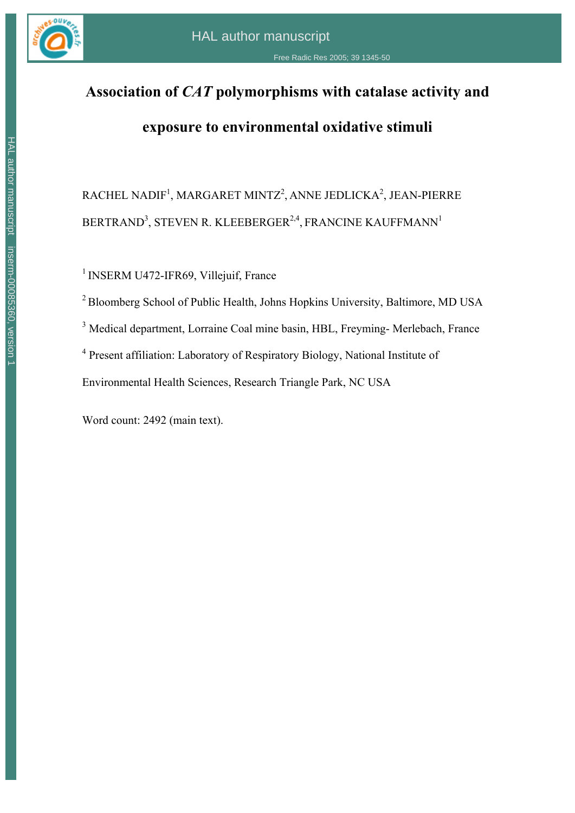

# **Association of** *CAT* **polymorphisms with catalase activity and**

## **exposure to environmental oxidative stimuli**

 $\mathsf{R}\mathsf{ACHEL}\ \mathsf{N}\mathsf{ADIF}^1, \mathsf{M}\mathsf{AR}\mathsf{G}\mathsf{ARET}\ \mathsf{MINTZ}^2, \mathsf{ANNE}\ \mathsf{IEDLICKA}^2, \mathsf{J}\mathsf{E}\mathsf{AN}\text{-}\mathsf{PIERRE}$ BERTRAND<sup>3</sup>, STEVEN R. KLEEBERGER<sup>2,4</sup>, FRANCINE KAUFFMANN<sup>1</sup>

<sup>1</sup> INSERM U472-IFR69, Villejuif, France

2 Bloomberg School of Public Health, Johns Hopkins University, Baltimore, MD USA

<sup>3</sup> Medical department, Lorraine Coal mine basin, HBL, Freyming- Merlebach, France

<sup>4</sup> Present affiliation: Laboratory of Respiratory Biology, National Institute of

Environmental Health Sciences, Research Triangle Park, NC USA

Word count: 2492 (main text).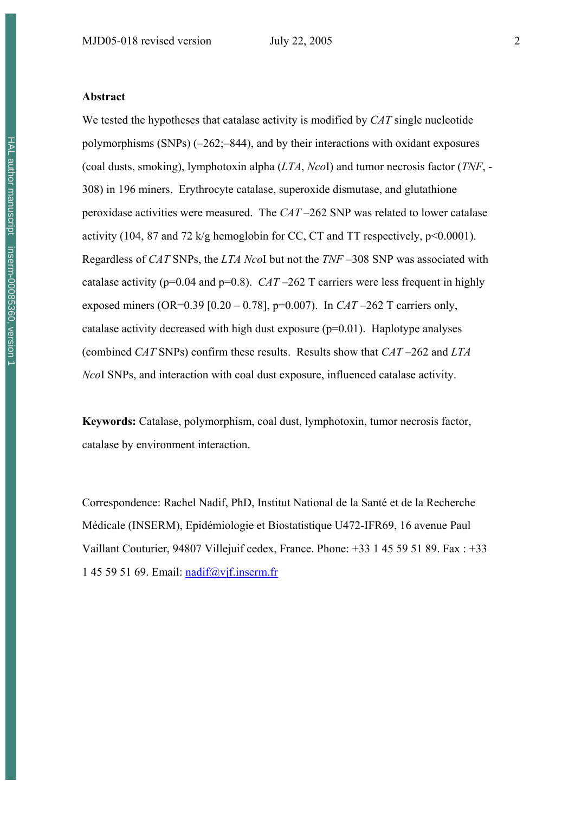We tested the hypotheses that catalase activity is modified by *CAT* single nucleotide polymorphisms (SNPs) (–262;–844), and by their interactions with oxidant exposures (coal dusts, smoking), lymphotoxin alpha (*LTA*, *Nco*I) and tumor necrosis factor (*TNF*, - 308) in 196 miners. Erythrocyte catalase, superoxide dismutase, and glutathione peroxidase activities were measured. The *CAT* –262 SNP was related to lower catalase activity (104, 87 and 72 k/g hemoglobin for CC, CT and TT respectively, p<0.0001). Regardless of *CAT* SNPs, the *LTA Nco*I but not the *TNF* –308 SNP was associated with catalase activity ( $p=0.04$  and  $p=0.8$ ). *CAT* –262 T carriers were less frequent in highly exposed miners (OR=0.39 [0.20 – 0.78], p=0.007). In *CAT* –262 T carriers only, catalase activity decreased with high dust exposure  $(p=0.01)$ . Haplotype analyses (combined *CAT* SNPs) confirm these results. Results show that *CAT* –262 and *LTA Nco*I SNPs, and interaction with coal dust exposure, influenced catalase activity.

**Keywords:** Catalase, polymorphism, coal dust, lymphotoxin, tumor necrosis factor, catalase by environment interaction.

Correspondence: Rachel Nadif, PhD, Institut National de la Santé et de la Recherche Médicale (INSERM), Epidémiologie et Biostatistique U472-IFR69, 16 avenue Paul Vaillant Couturier, 94807 Villejuif cedex, France. Phone: +33 1 45 59 51 89. Fax : +33 1 45 59 51 69. Email: nadif@vjf.inserm.fr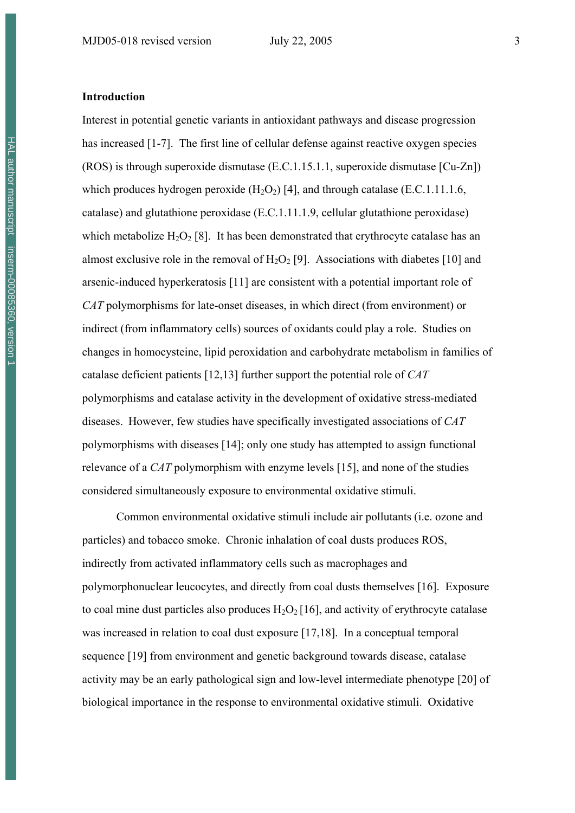#### **Introduction**

Interest in potential genetic variants in antioxidant pathways and disease progression has increased [1-7]. The first line of cellular defense against reactive oxygen species (ROS) is through superoxide dismutase (E.C.1.15.1.1, superoxide dismutase [Cu-Zn]) which produces hydrogen peroxide  $(H_2O_2)$  [4], and through catalase (E.C.1.11.1.6, catalase) and glutathione peroxidase (E.C.1.11.1.9, cellular glutathione peroxidase) which metabolize  $H_2O_2$  [8]. It has been demonstrated that erythrocyte catalase has an almost exclusive role in the removal of  $H_2O_2$  [9]. Associations with diabetes [10] and arsenic-induced hyperkeratosis [11] are consistent with a potential important role of *CAT* polymorphisms for late-onset diseases, in which direct (from environment) or indirect (from inflammatory cells) sources of oxidants could play a role. Studies on changes in homocysteine, lipid peroxidation and carbohydrate metabolism in families of catalase deficient patients [12,13] further support the potential role of *CAT* polymorphisms and catalase activity in the development of oxidative stress-mediated diseases. However, few studies have specifically investigated associations of *CAT* polymorphisms with diseases [14]; only one study has attempted to assign functional relevance of a *CAT* polymorphism with enzyme levels [15], and none of the studies considered simultaneously exposure to environmental oxidative stimuli.

Common environmental oxidative stimuli include air pollutants (i.e. ozone and particles) and tobacco smoke. Chronic inhalation of coal dusts produces ROS, indirectly from activated inflammatory cells such as macrophages and polymorphonuclear leucocytes, and directly from coal dusts themselves [16]. Exposure to coal mine dust particles also produces  $H_2O_2$  [16], and activity of erythrocyte catalase was increased in relation to coal dust exposure [17,18]. In a conceptual temporal sequence [19] from environment and genetic background towards disease, catalase activity may be an early pathological sign and low-level intermediate phenotype [20] of biological importance in the response to environmental oxidative stimuli. Oxidative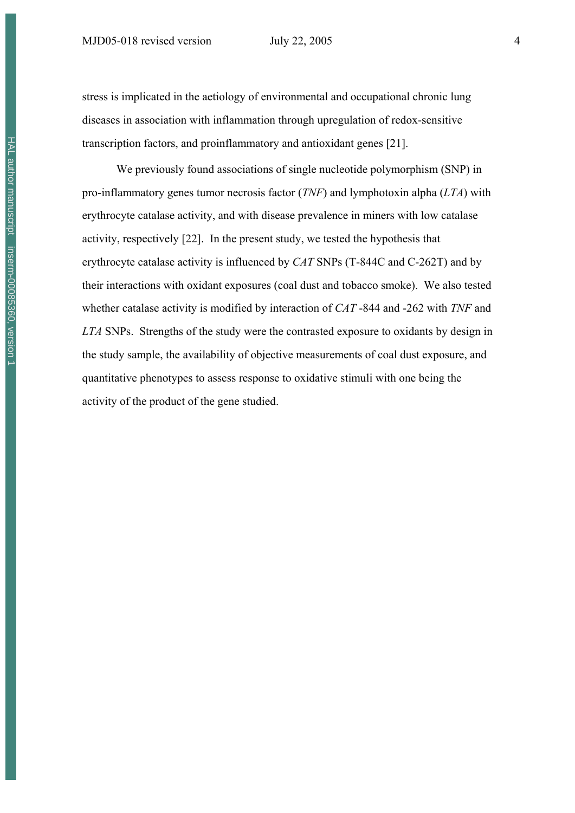stress is implicated in the aetiology of environmental and occupational chronic lung diseases in association with inflammation through upregulation of redox-sensitive transcription factors, and proinflammatory and antioxidant genes [21].

We previously found associations of single nucleotide polymorphism (SNP) in pro-inflammatory genes tumor necrosis factor (*TNF*) and lymphotoxin alpha (*LTA*) with erythrocyte catalase activity, and with disease prevalence in miners with low catalase activity, respectively [22]. In the present study, we tested the hypothesis that erythrocyte catalase activity is influenced by *CAT* SNPs (T-844C and C-262T) and by their interactions with oxidant exposures (coal dust and tobacco smoke). We also tested whether catalase activity is modified by interaction of *CAT* -844 and -262 with *TNF* and *LTA* SNPs. Strengths of the study were the contrasted exposure to oxidants by design in the study sample, the availability of objective measurements of coal dust exposure, and quantitative phenotypes to assess response to oxidative stimuli with one being the activity of the product of the gene studied.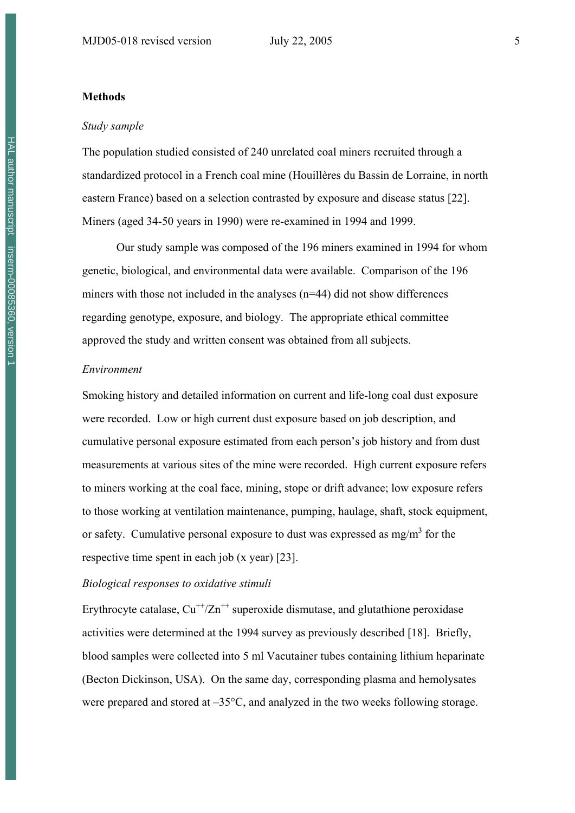#### **Methods**

#### *Study sample*

The population studied consisted of 240 unrelated coal miners recruited through a standardized protocol in a French coal mine (Houillères du Bassin de Lorraine, in north eastern France) based on a selection contrasted by exposure and disease status [22]. Miners (aged 34-50 years in 1990) were re-examined in 1994 and 1999.

Our study sample was composed of the 196 miners examined in 1994 for whom genetic, biological, and environmental data were available. Comparison of the 196 miners with those not included in the analyses (n=44) did not show differences regarding genotype, exposure, and biology. The appropriate ethical committee approved the study and written consent was obtained from all subjects.

#### *Environment*

Smoking history and detailed information on current and life-long coal dust exposure were recorded. Low or high current dust exposure based on job description, and cumulative personal exposure estimated from each person's job history and from dust measurements at various sites of the mine were recorded. High current exposure refers to miners working at the coal face, mining, stope or drift advance; low exposure refers to those working at ventilation maintenance, pumping, haulage, shaft, stock equipment, or safety. Cumulative personal exposure to dust was expressed as mg/m<sup>3</sup> for the respective time spent in each job (x year) [23].

#### *Biological responses to oxidative stimuli*

Erythrocyte catalase,  $Cu^{++}/Zn^{++}$  superoxide dismutase, and glutathione peroxidase activities were determined at the 1994 survey as previously described [18]. Briefly, blood samples were collected into 5 ml Vacutainer tubes containing lithium heparinate (Becton Dickinson, USA). On the same day, corresponding plasma and hemolysates were prepared and stored at –35°C, and analyzed in the two weeks following storage.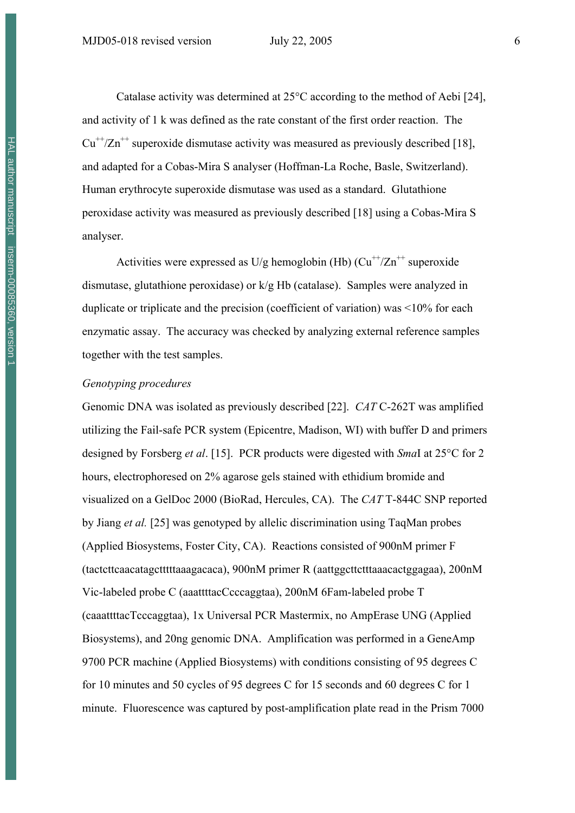Catalase activity was determined at 25°C according to the method of Aebi [24], and activity of 1 k was defined as the rate constant of the first order reaction. The  $Cu^{++}/Zn^{++}$  superoxide dismutase activity was measured as previously described [18], and adapted for a Cobas-Mira S analyser (Hoffman-La Roche, Basle, Switzerland). Human erythrocyte superoxide dismutase was used as a standard. Glutathione peroxidase activity was measured as previously described [18] using a Cobas-Mira S analyser.

Activities were expressed as  $U/g$  hemoglobin (Hb)  $(Cu^{+}/Zn^{+})$  superoxide dismutase, glutathione peroxidase) or k/g Hb (catalase). Samples were analyzed in duplicate or triplicate and the precision (coefficient of variation) was <10% for each enzymatic assay. The accuracy was checked by analyzing external reference samples together with the test samples.

#### *Genotyping procedures*

Genomic DNA was isolated as previously described [22]. *CAT* C-262T was amplified utilizing the Fail-safe PCR system (Epicentre, Madison, WI) with buffer D and primers designed by Forsberg *et al*. [15]. PCR products were digested with *Sma*I at 25°C for 2 hours, electrophoresed on 2% agarose gels stained with ethidium bromide and visualized on a GelDoc 2000 (BioRad, Hercules, CA). The *CAT* T-844C SNP reported by Jiang *et al.* [25] was genotyped by allelic discrimination using TaqMan probes (Applied Biosystems, Foster City, CA). Reactions consisted of 900nM primer F (tactcttcaacatagctttttaaagacaca), 900nM primer R (aattggcttctttaaacactggagaa), 200nM Vic-labeled probe C (aaattttacCcccaggtaa), 200nM 6Fam-labeled probe T (caaattttacTcccaggtaa), 1x Universal PCR Mastermix, no AmpErase UNG (Applied Biosystems), and 20ng genomic DNA. Amplification was performed in a GeneAmp 9700 PCR machine (Applied Biosystems) with conditions consisting of 95 degrees C for 10 minutes and 50 cycles of 95 degrees C for 15 seconds and 60 degrees C for 1 minute. Fluorescence was captured by post-amplification plate read in the Prism 7000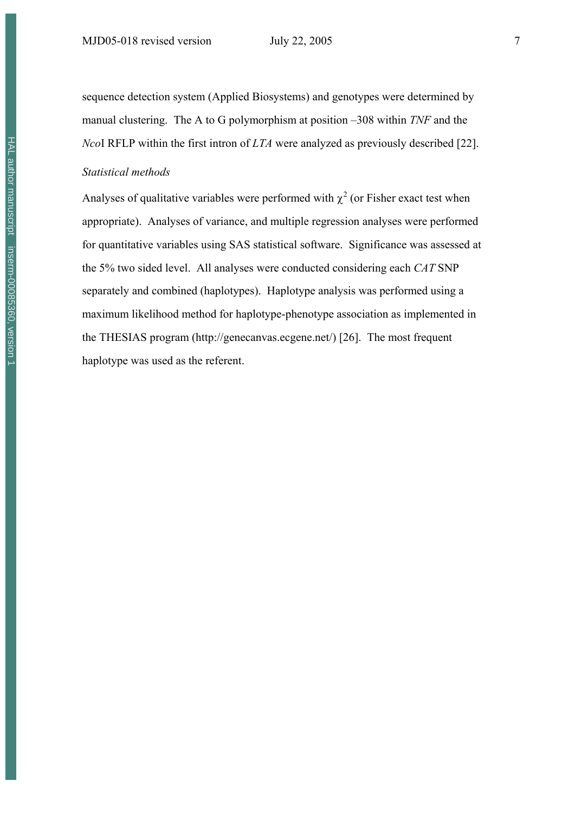sequence detection system (Applied Biosystems) and genotypes were determined by manual clustering. The A to G polymorphism at position –308 within *TNF* and the *Nco*I RFLP within the first intron of *LTA* were analyzed as previously described [22].

#### *Statistical methods*

Analyses of qualitative variables were performed with  $\chi^2$  (or Fisher exact test when appropriate). Analyses of variance, and multiple regression analyses were performed for quantitative variables using SAS statistical software. Significance was assessed at the 5% two sided level. All analyses were conducted considering each *CAT* SNP separately and combined (haplotypes). Haplotype analysis was performed using a maximum likelihood method for haplotype-phenotype association as implemented in the THESIAS program (http://genecanvas.ecgene.net/) [26]. The most frequent haplotype was used as the referent.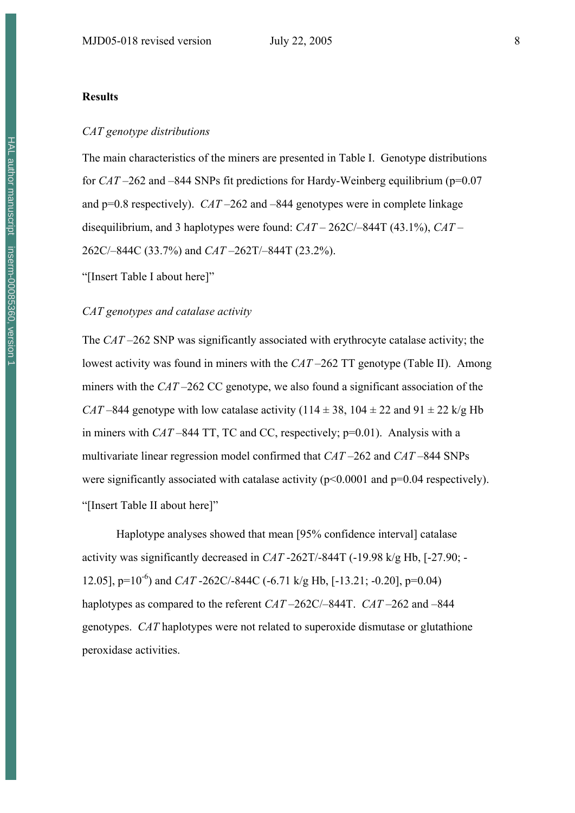#### **Results**

#### *CAT genotype distributions*

The main characteristics of the miners are presented in Table I. Genotype distributions for *CAT* –262 and –844 SNPs fit predictions for Hardy-Weinberg equilibrium (p=0.07 and p=0.8 respectively). *CAT* –262 and –844 genotypes were in complete linkage disequilibrium, and 3 haplotypes were found: *CAT* – 262C/–844T (43.1%), *CAT* – 262C/–844C (33.7%) and *CAT* –262T/–844T (23.2%).

"[Insert Table I about here]"

#### *CAT genotypes and catalase activity*

The *CAT* –262 SNP was significantly associated with erythrocyte catalase activity; the lowest activity was found in miners with the *CAT* –262 TT genotype (Table II). Among miners with the *CAT* –262 CC genotype, we also found a significant association of the *CAT* –844 genotype with low catalase activity (114  $\pm$  38, 104  $\pm$  22 and 91  $\pm$  22 k/g Hb in miners with *CAT* –844 TT, TC and CC, respectively; p=0.01). Analysis with a multivariate linear regression model confirmed that *CAT* –262 and *CAT* –844 SNPs were significantly associated with catalase activity  $(p<0.0001$  and  $p=0.04$  respectively). "[Insert Table II about here]"

Haplotype analyses showed that mean [95% confidence interval] catalase activity was significantly decreased in *CAT* -262T/-844T (-19.98 k/g Hb, [-27.90; - 12.05], p=10-6) and *CAT* -262C/-844C (-6.71 k/g Hb, [-13.21; -0.20], p=0.04) haplotypes as compared to the referent *CAT* –262C/–844T. *CAT* –262 and –844 genotypes. *CAT* haplotypes were not related to superoxide dismutase or glutathione peroxidase activities.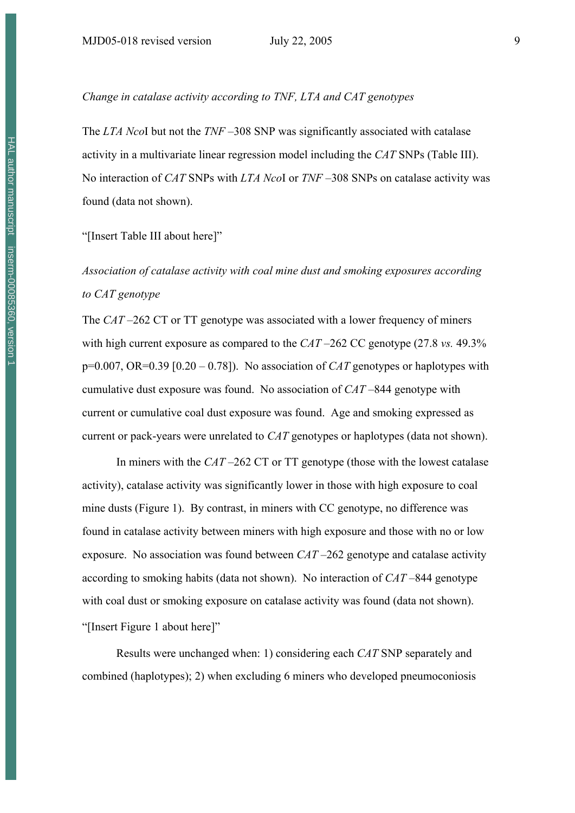### *Change in catalase activity according to TNF, LTA and CAT genotypes*

The *LTA Nco*I but not the *TNF* –308 SNP was significantly associated with catalase activity in a multivariate linear regression model including the *CAT* SNPs (Table III). No interaction of *CAT* SNPs with *LTA Nco*I or *TNF* –308 SNPs on catalase activity was found (data not shown).

#### "[Insert Table III about here]"

### *Association of catalase activity with coal mine dust and smoking exposures according to CAT genotype*

The *CAT* –262 CT or TT genotype was associated with a lower frequency of miners with high current exposure as compared to the *CAT* –262 CC genotype (27.8 *vs.* 49.3% p=0.007, OR=0.39 [0.20 – 0.78]). No association of *CAT* genotypes or haplotypes with cumulative dust exposure was found. No association of *CAT* –844 genotype with current or cumulative coal dust exposure was found. Age and smoking expressed as current or pack-years were unrelated to *CAT* genotypes or haplotypes (data not shown).

In miners with the *CAT* –262 CT or TT genotype (those with the lowest catalase activity), catalase activity was significantly lower in those with high exposure to coal mine dusts (Figure 1). By contrast, in miners with CC genotype, no difference was found in catalase activity between miners with high exposure and those with no or low exposure. No association was found between *CAT* –262 genotype and catalase activity according to smoking habits (data not shown). No interaction of *CAT* –844 genotype with coal dust or smoking exposure on catalase activity was found (data not shown). "[Insert Figure 1 about here]"

Results were unchanged when: 1) considering each *CAT* SNP separately and combined (haplotypes); 2) when excluding 6 miners who developed pneumoconiosis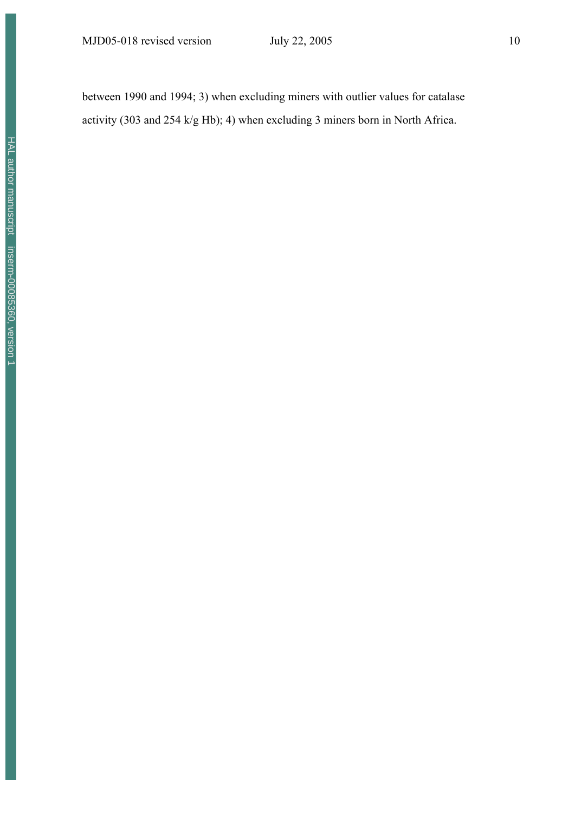MJD05-018 revised version July 22, 2005 10

between 1990 and 1994; 3) when excluding miners with outlier values for catalase activity (303 and 254 k/g Hb); 4) when excluding 3 miners born in North Africa.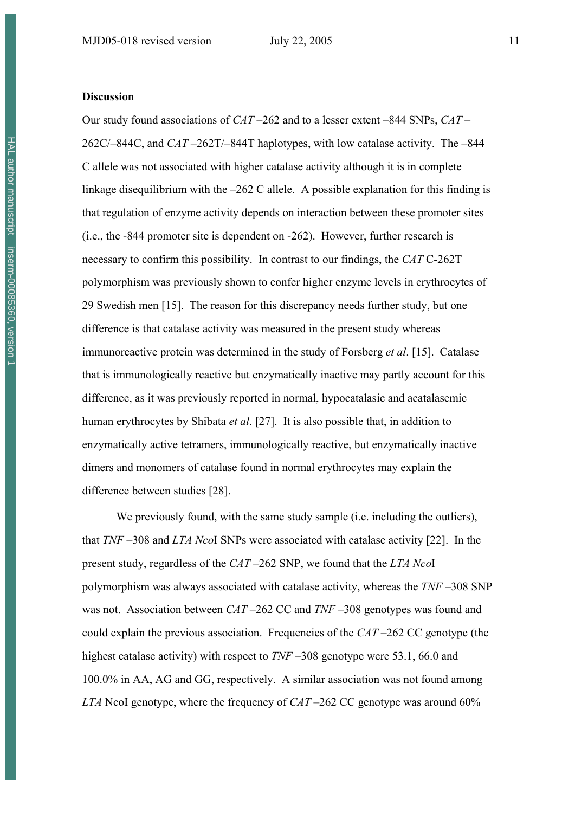#### **Discussion**

Our study found associations of *CAT* –262 and to a lesser extent –844 SNPs, *CAT* – 262C/–844C, and *CAT* –262T/–844T haplotypes, with low catalase activity. The –844 C allele was not associated with higher catalase activity although it is in complete linkage disequilibrium with the –262 C allele. A possible explanation for this finding is that regulation of enzyme activity depends on interaction between these promoter sites (i.e., the -844 promoter site is dependent on -262). However, further research is necessary to confirm this possibility. In contrast to our findings, the *CAT* C-262T polymorphism was previously shown to confer higher enzyme levels in erythrocytes of 29 Swedish men [15]. The reason for this discrepancy needs further study, but one difference is that catalase activity was measured in the present study whereas immunoreactive protein was determined in the study of Forsberg *et al*. [15]. Catalase that is immunologically reactive but enzymatically inactive may partly account for this difference, as it was previously reported in normal, hypocatalasic and acatalasemic human erythrocytes by Shibata *et al*. [27]. It is also possible that, in addition to enzymatically active tetramers, immunologically reactive, but enzymatically inactive dimers and monomers of catalase found in normal erythrocytes may explain the difference between studies [28].

We previously found, with the same study sample *(i.e.* including the outliers). that *TNF* –308 and *LTA Nco*I SNPs were associated with catalase activity [22]. In the present study, regardless of the *CAT* –262 SNP, we found that the *LTA Nco*I polymorphism was always associated with catalase activity, whereas the *TNF* –308 SNP was not. Association between *CAT* –262 CC and *TNF* –308 genotypes was found and could explain the previous association. Frequencies of the *CAT* –262 CC genotype (the highest catalase activity) with respect to *TNF* –308 genotype were 53.1, 66.0 and 100.0% in AA, AG and GG, respectively. A similar association was not found among *LTA* NcoI genotype, where the frequency of *CAT* –262 CC genotype was around 60%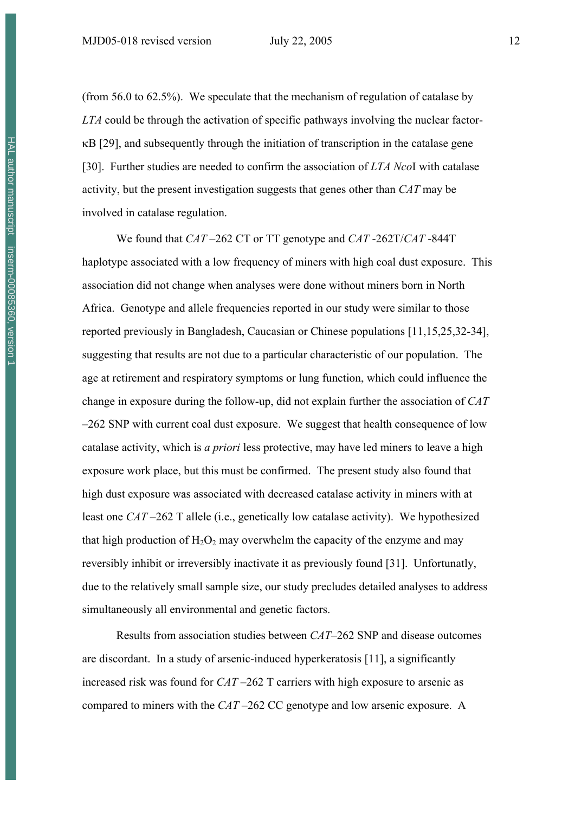(from 56.0 to 62.5%). We speculate that the mechanism of regulation of catalase by *LTA* could be through the activation of specific pathways involving the nuclear factorκB [29], and subsequently through the initiation of transcription in the catalase gene [30]. Further studies are needed to confirm the association of *LTA Nco*I with catalase activity, but the present investigation suggests that genes other than *CAT* may be involved in catalase regulation.

We found that *CAT* –262 CT or TT genotype and *CAT* -262T/*CAT* -844T haplotype associated with a low frequency of miners with high coal dust exposure. This association did not change when analyses were done without miners born in North Africa. Genotype and allele frequencies reported in our study were similar to those reported previously in Bangladesh, Caucasian or Chinese populations [11,15,25,32-34], suggesting that results are not due to a particular characteristic of our population. The age at retirement and respiratory symptoms or lung function, which could influence the change in exposure during the follow-up, did not explain further the association of *CAT* –262 SNP with current coal dust exposure. We suggest that health consequence of low catalase activity, which is *a priori* less protective, may have led miners to leave a high exposure work place, but this must be confirmed. The present study also found that high dust exposure was associated with decreased catalase activity in miners with at least one *CAT* –262 T allele (i.e., genetically low catalase activity). We hypothesized that high production of  $H_2O_2$  may overwhelm the capacity of the enzyme and may reversibly inhibit or irreversibly inactivate it as previously found [31]. Unfortunatly, due to the relatively small sample size, our study precludes detailed analyses to address simultaneously all environmental and genetic factors.

Results from association studies between *CAT*–262 SNP and disease outcomes are discordant. In a study of arsenic-induced hyperkeratosis [11], a significantly increased risk was found for *CAT* –262 T carriers with high exposure to arsenic as compared to miners with the *CAT* –262 CC genotype and low arsenic exposure. A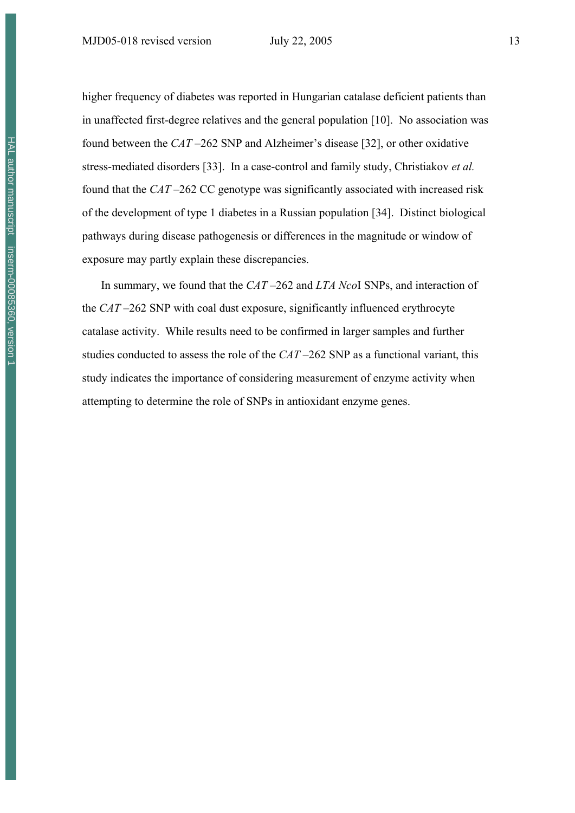higher frequency of diabetes was reported in Hungarian catalase deficient patients than in unaffected first-degree relatives and the general population [10]. No association was found between the *CAT* –262 SNP and Alzheimer's disease [32], or other oxidative stress-mediated disorders [33]. In a case-control and family study, Christiakov *et al.* found that the *CAT* –262 CC genotype was significantly associated with increased risk of the development of type 1 diabetes in a Russian population [34]. Distinct biological pathways during disease pathogenesis or differences in the magnitude or window of exposure may partly explain these discrepancies.

In summary, we found that the *CAT* –262 and *LTA Nco*I SNPs, and interaction of the *CAT* –262 SNP with coal dust exposure, significantly influenced erythrocyte catalase activity. While results need to be confirmed in larger samples and further studies conducted to assess the role of the *CAT* –262 SNP as a functional variant, this study indicates the importance of considering measurement of enzyme activity when attempting to determine the role of SNPs in antioxidant enzyme genes.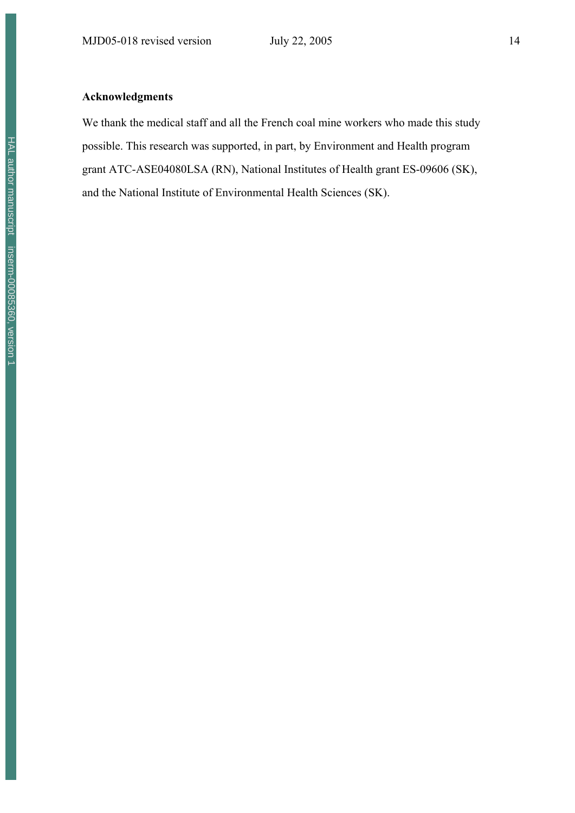### **Acknowledgments**

We thank the medical staff and all the French coal mine workers who made this study possible. This research was supported, in part, by Environment and Health program grant ATC-ASE04080LSA (RN), National Institutes of Health grant ES-09606 (SK), and the National Institute of Environmental Health Sciences (SK).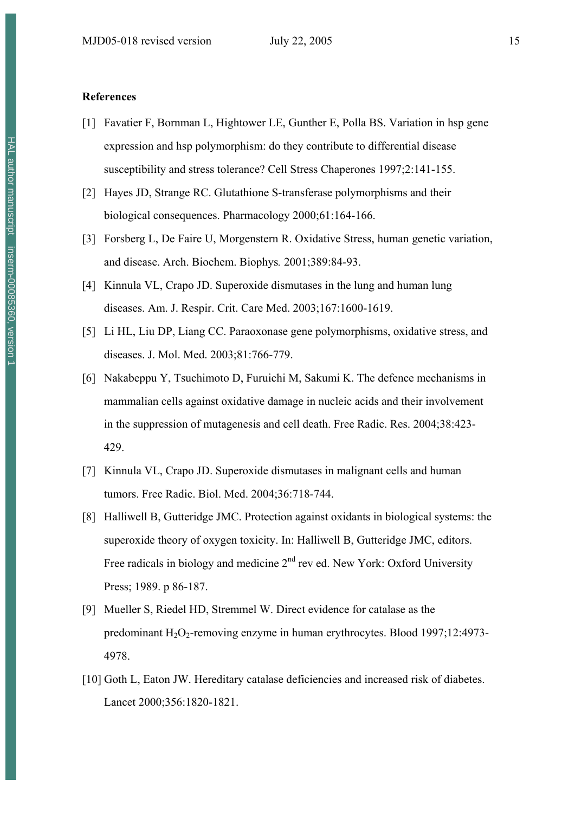#### **References**

- [1] Favatier F, Bornman L, Hightower LE, Gunther E, Polla BS. Variation in hsp gene expression and hsp polymorphism: do they contribute to differential disease susceptibility and stress tolerance? Cell Stress Chaperones 1997;2:141-155.
- [2] Hayes JD, Strange RC. Glutathione S-transferase polymorphisms and their biological consequences. Pharmacology 2000;61:164-166.
- [3] Forsberg L, De Faire U, Morgenstern R. Oxidative Stress, human genetic variation, and disease. Arch. Biochem. Biophys*.* 2001;389:84-93.
- [4] Kinnula VL, Crapo JD. Superoxide dismutases in the lung and human lung diseases. Am. J. Respir. Crit. Care Med. 2003;167:1600-1619.
- [5] Li HL, Liu DP, Liang CC. Paraoxonase gene polymorphisms, oxidative stress, and diseases. J. Mol. Med. 2003;81:766-779.
- [6] Nakabeppu Y, Tsuchimoto D, Furuichi M, Sakumi K. The defence mechanisms in mammalian cells against oxidative damage in nucleic acids and their involvement in the suppression of mutagenesis and cell death. Free Radic. Res. 2004;38:423- 429.
- [7] Kinnula VL, Crapo JD. Superoxide dismutases in malignant cells and human tumors. Free Radic. Biol. Med. 2004;36:718-744.
- [8] Halliwell B, Gutteridge JMC. Protection against oxidants in biological systems: the superoxide theory of oxygen toxicity. In: Halliwell B, Gutteridge JMC, editors. Free radicals in biology and medicine  $2<sup>nd</sup>$  rev ed. New York: Oxford University Press; 1989. p 86-187.
- [9] Mueller S, Riedel HD, Stremmel W. Direct evidence for catalase as the predominant  $H_2O_2$ -removing enzyme in human erythrocytes. Blood 1997;12:4973-4978.
- [10] Goth L, Eaton JW. Hereditary catalase deficiencies and increased risk of diabetes. Lancet 2000;356:1820-1821.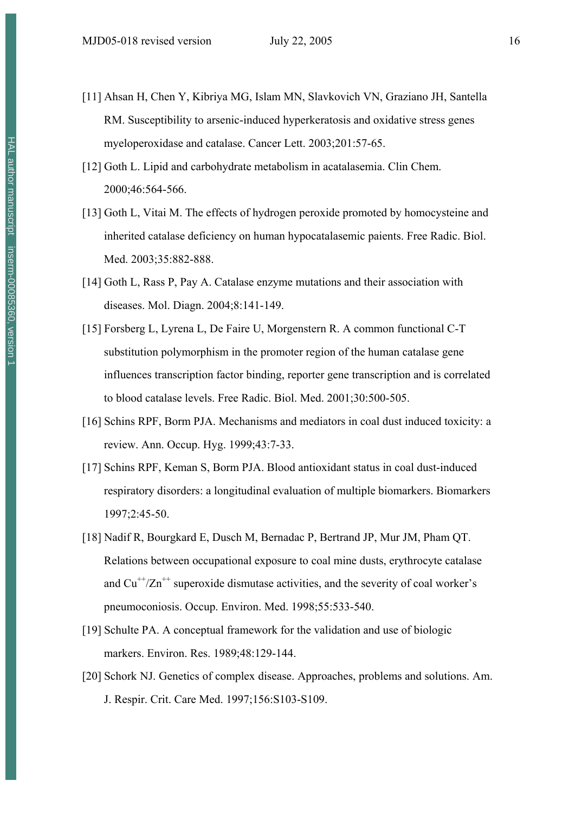- [11] Ahsan H, Chen Y, Kibriya MG, Islam MN, Slavkovich VN, Graziano JH, Santella RM. Susceptibility to arsenic-induced hyperkeratosis and oxidative stress genes myeloperoxidase and catalase. Cancer Lett. 2003;201:57-65.
- [12] Goth L. Lipid and carbohydrate metabolism in acatalasemia. Clin Chem. 2000;46:564-566.
- [13] Goth L, Vitai M. The effects of hydrogen peroxide promoted by homocysteine and inherited catalase deficiency on human hypocatalasemic paients. Free Radic. Biol. Med. 2003;35:882-888.
- [14] Goth L, Rass P, Pay A. Catalase enzyme mutations and their association with diseases. Mol. Diagn. 2004;8:141-149.
- [15] Forsberg L, Lyrena L, De Faire U, Morgenstern R. A common functional C-T substitution polymorphism in the promoter region of the human catalase gene influences transcription factor binding, reporter gene transcription and is correlated to blood catalase levels. Free Radic. Biol. Med. 2001;30:500-505.
- [16] Schins RPF, Borm PJA. Mechanisms and mediators in coal dust induced toxicity: a review. Ann. Occup. Hyg. 1999;43:7-33.
- [17] Schins RPF, Keman S, Borm PJA. Blood antioxidant status in coal dust-induced respiratory disorders: a longitudinal evaluation of multiple biomarkers. Biomarkers 1997;2:45-50.
- [18] Nadif R, Bourgkard E, Dusch M, Bernadac P, Bertrand JP, Mur JM, Pham QT. Relations between occupational exposure to coal mine dusts, erythrocyte catalase and  $Cu^{++}/Zn^{++}$  superoxide dismutase activities, and the severity of coal worker's pneumoconiosis. Occup. Environ. Med. 1998;55:533-540.
- [19] Schulte PA. A conceptual framework for the validation and use of biologic markers. Environ. Res. 1989;48:129-144.
- [20] Schork NJ. Genetics of complex disease. Approaches, problems and solutions. Am. J. Respir. Crit. Care Med. 1997;156:S103-S109.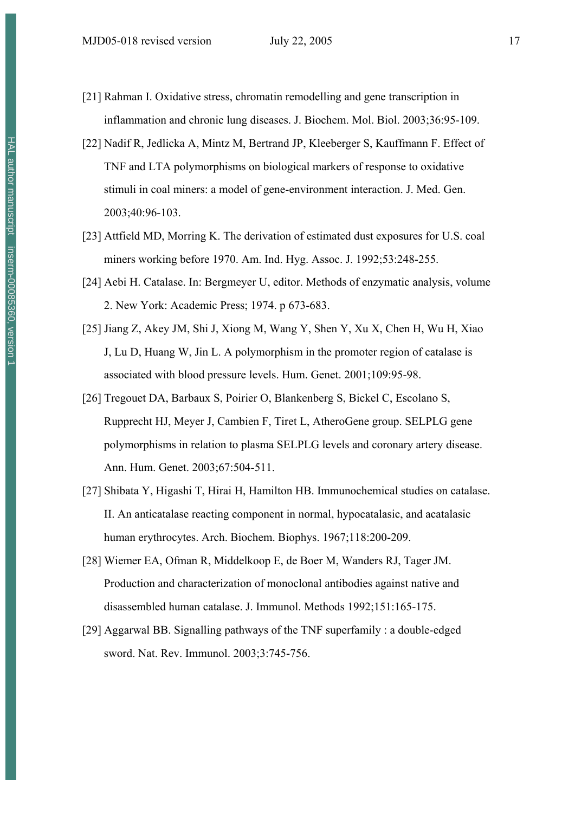- [21] Rahman I. Oxidative stress, chromatin remodelling and gene transcription in inflammation and chronic lung diseases. J. Biochem. Mol. Biol. 2003;36:95-109.
- [22] Nadif R, Jedlicka A, Mintz M, Bertrand JP, Kleeberger S, Kauffmann F. Effect of TNF and LTA polymorphisms on biological markers of response to oxidative stimuli in coal miners: a model of gene-environment interaction. J. Med. Gen. 2003;40:96-103.
- [23] Attfield MD, Morring K. The derivation of estimated dust exposures for U.S. coal miners working before 1970. Am. Ind. Hyg. Assoc. J. 1992;53:248-255.
- [24] Aebi H. Catalase. In: Bergmeyer U, editor. Methods of enzymatic analysis, volume 2. New York: Academic Press; 1974. p 673-683.
- [25] Jiang Z, Akey JM, Shi J, Xiong M, Wang Y, Shen Y, Xu X, Chen H, Wu H, Xiao J, Lu D, Huang W, Jin L. A polymorphism in the promoter region of catalase is associated with blood pressure levels. Hum. Genet. 2001;109:95-98.
- [26] Tregouet DA, Barbaux S, Poirier O, Blankenberg S, Bickel C, Escolano S, Rupprecht HJ, Meyer J, Cambien F, Tiret L, AtheroGene group. SELPLG gene polymorphisms in relation to plasma SELPLG levels and coronary artery disease. Ann. Hum. Genet. 2003;67:504-511.
- [27] Shibata Y, Higashi T, Hirai H, Hamilton HB. Immunochemical studies on catalase. II. An anticatalase reacting component in normal, hypocatalasic, and acatalasic human erythrocytes. Arch. Biochem. Biophys. 1967;118:200-209.
- [28] Wiemer EA, Ofman R, Middelkoop E, de Boer M, Wanders RJ, Tager JM. Production and characterization of monoclonal antibodies against native and disassembled human catalase. J. Immunol. Methods 1992;151:165-175.
- [29] Aggarwal BB. Signalling pathways of the TNF superfamily : a double-edged sword. Nat. Rev. Immunol. 2003;3:745-756.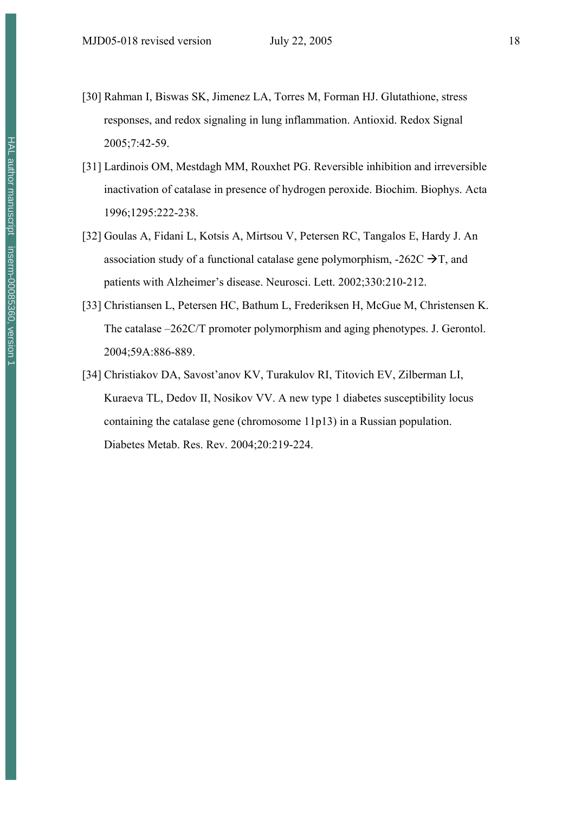- [30] Rahman I, Biswas SK, Jimenez LA, Torres M, Forman HJ. Glutathione, stress responses, and redox signaling in lung inflammation. Antioxid. Redox Signal 2005;7:42-59.
- [31] Lardinois OM, Mestdagh MM, Rouxhet PG. Reversible inhibition and irreversible inactivation of catalase in presence of hydrogen peroxide. Biochim. Biophys. Acta 1996;1295:222-238.
- [32] Goulas A, Fidani L, Kotsis A, Mirtsou V, Petersen RC, Tangalos E, Hardy J. An association study of a functional catalase gene polymorphism,  $-262C \rightarrow T$ , and patients with Alzheimer's disease. Neurosci. Lett. 2002;330:210-212.
- [33] Christiansen L, Petersen HC, Bathum L, Frederiksen H, McGue M, Christensen K. The catalase –262C/T promoter polymorphism and aging phenotypes. J. Gerontol. 2004;59A:886-889.
- [34] Christiakov DA, Savost'anov KV, Turakulov RI, Titovich EV, Zilberman LI, Kuraeva TL, Dedov II, Nosikov VV. A new type 1 diabetes susceptibility locus containing the catalase gene (chromosome 11p13) in a Russian population. Diabetes Metab. Res. Rev. 2004;20:219-224.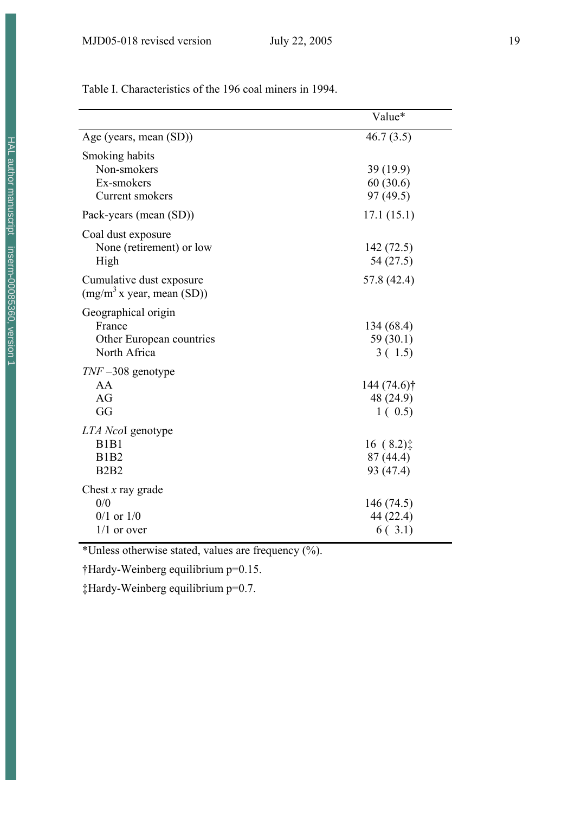|                                                                                  | Value*                                         |
|----------------------------------------------------------------------------------|------------------------------------------------|
| Age (years, mean (SD))                                                           | 46.7(3.5)                                      |
| Smoking habits<br>Non-smokers<br>Ex-smokers<br>Current smokers                   | 39 (19.9)<br>60(30.6)<br>97(49.5)              |
| Pack-years (mean (SD))                                                           | 17.1(15.1)                                     |
| Coal dust exposure<br>None (retirement) or low<br>High                           | 142(72.5)<br>54 (27.5)                         |
| Cumulative dust exposure<br>$(mg/m^3 x \text{ year}, \text{mean (SD)})$          | 57.8 (42.4)                                    |
| Geographical origin<br>France<br>Other European countries<br>North Africa        | 134(68.4)<br>59(30.1)<br>3(1.5)                |
| $TNF - 308$ genotype<br>AA<br>AG<br>GG                                           | 144 (74.6) <sup>†</sup><br>48 (24.9)<br>1(0.5) |
| LTA NcoI genotype<br>B <sub>1</sub> B <sub>1</sub><br><b>B1B2</b><br><b>B2B2</b> | $16(8.2)$ ‡<br>87(44.4)<br>93 (47.4)           |
| Chest $x$ ray grade<br>0/0<br>$0/1$ or $1/0$<br>$1/1$ or over                    | 146 (74.5)<br>44 (22.4)<br>6(.3.1)             |

Table I. Characteristics of the 196 coal miners in 1994.

\*Unless otherwise stated, values are frequency (%).

†Hardy-Weinberg equilibrium p=0.15.

‡Hardy-Weinberg equilibrium p=0.7.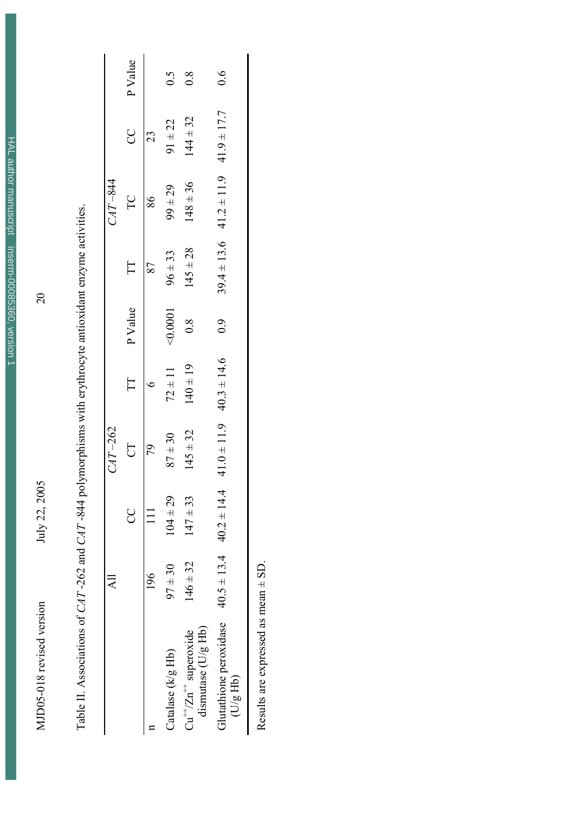HAL author manuscript inserm-00085360, version 1 HAL author manuscript inserm-00085360, version 1

MJD05-018 revised version July 22, 2005 2005 MJD05-018 revised version

July 22, 2005

20

Table II. Associations of CAT-262 and CAT-844 polymorphisms with erythrocyte antioxidant enzyme activities. Table II. Associations of *CAT* -262 and *CAT* -844 polymorphisms with erythrocyte antioxidant enzyme activities.

|                                                    | $\overline{\mathbf{A}}$ |                                 |                 |                 |               |              |                                 |                 |               |
|----------------------------------------------------|-------------------------|---------------------------------|-----------------|-----------------|---------------|--------------|---------------------------------|-----------------|---------------|
|                                                    |                         |                                 | $CAT-262$       |                 |               |              | $CAT - 844$                     |                 |               |
|                                                    |                         | g                               | $\overline{C}$  | E               | P Value       | $\Box$       | $\Gamma$ C                      | 8               | P Value       |
|                                                    | 196                     |                                 | 79              |                 |               | 87           | 86                              | 23              |               |
| Catalase (k/g Hb)                                  | $97 \pm 30$             | $104 \pm 29$                    | $87 + 30$       | $72 \pm 11$     | 50001         | $96 \pm 33$  | $99 \pm 29$                     | $91 \pm 22$     | 0.5           |
| dismutase (U/g Hb)<br>$Cu^{++}/Zn^{++}$ superoxide | $146 \pm 32$            | $147 \pm 33$                    | $145 \pm 32$    | $(40 \pm 19)$   | $\frac{8}{2}$ | $145 \pm 28$ | $148 \pm 36$                    | $144 \pm 32$    | $\frac{8}{2}$ |
| Glutathione peroxidase<br>(U/gHb)                  |                         | $40.5 \pm 13.4$ $40.2 \pm 14.4$ | $41.0 \pm 11.9$ | $40.3 \pm 14.6$ | 6.9           |              | $39.4 \pm 13.6$ $41.2 \pm 11.9$ | $41.9 \pm 17.7$ | $\frac{6}{1}$ |
| ſ                                                  | $\int$                  |                                 |                 |                 |               |              |                                 |                 |               |

Results are expressed as mean  $\pm$  SD. Results are expressed as mean  $\pm$  SD.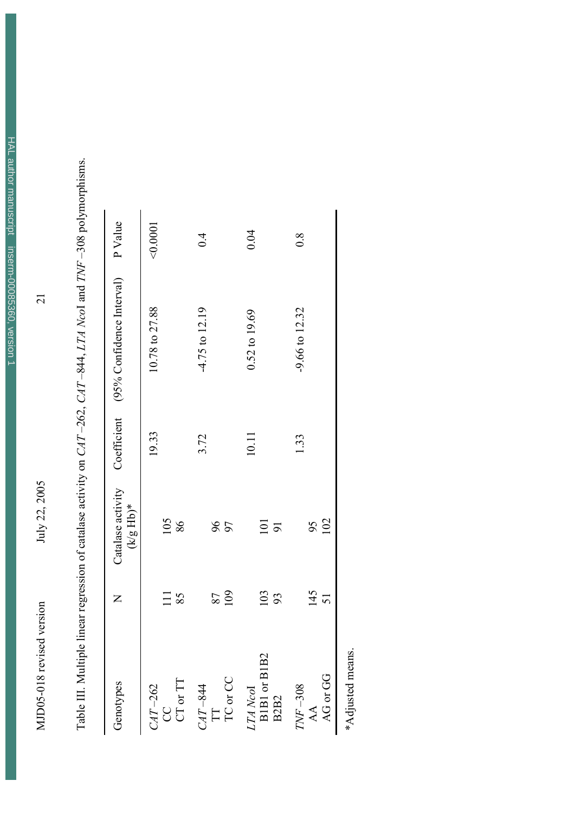MJD05-018 revised version July 22, 2005  $2005$ July 22, 2005

MJD05-018 revised version

 $\overline{21}$ 

| Genotypes                                | $\mathsf{Z}$ | Catalase activity<br>$(\mathbf{k}/\mathbf{g} \ \mathbf{H}\mathbf{b})^*$ |       | Coefficient (95% Confidence Interval) P Value |          |
|------------------------------------------|--------------|-------------------------------------------------------------------------|-------|-----------------------------------------------|----------|
| $CAT-262$<br>CC                          | 111          | 105                                                                     | 19.33 | 10.78 to 27.88                                | < 0.0001 |
| CT or TT                                 | 85           | 86                                                                      |       |                                               |          |
|                                          |              |                                                                         | 3.72  | $-4.75$ to $12.19$                            | 0.4      |
| $\frac{CAT - 844}{\text{IT}}$            | 87           |                                                                         |       |                                               |          |
| TC or CC                                 | 109          | 96                                                                      |       |                                               |          |
|                                          |              |                                                                         | 10.11 | $0.52$ to $19.69$                             | 0.04     |
| $LTA\;Ncol\atop \mathrm{B1BI\;or\;B1B2}$ | <b>103</b>   | 101                                                                     |       |                                               |          |
| B <sub>2</sub> B <sub>2</sub>            |              | $\overline{9}$                                                          |       |                                               |          |
| $TNF-308$                                |              |                                                                         | 1.33  | $-9.66$ to $12.32$                            | 0.8      |
| AA                                       |              |                                                                         |       |                                               |          |
| AG or GG                                 | $145$<br>51  | $\frac{95}{102}$                                                        |       |                                               |          |

Table III. Multiple linear regression of catalase activity on CAT-262, CAT-844, LTA NcoI and TNF-308 polymorphisms. Table III. Multiple linear regression of catalase activity on *CAT* –262, *CAT* –844, *LTA Nco*I and *TNF* –308 polymorphisms.

\*Adjusted means. \*Adjusted means.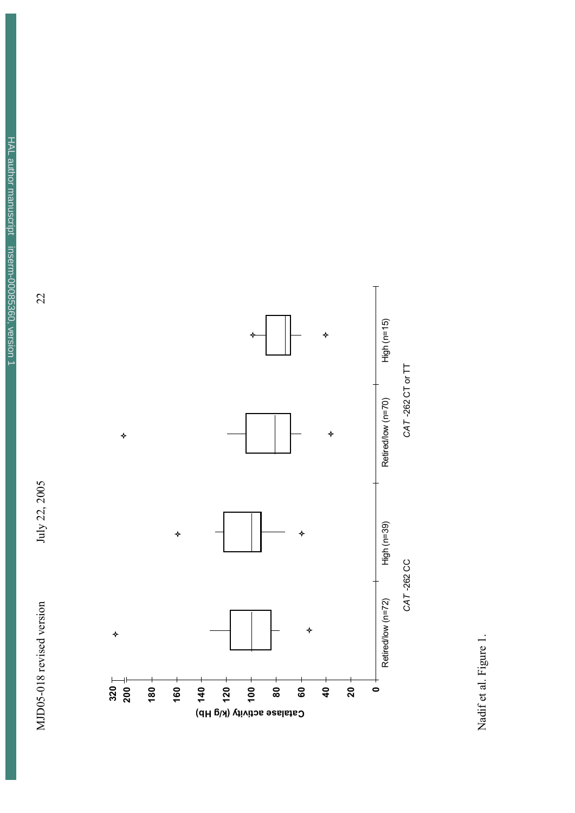





Nadif et al. Figure 1. Nadif et al. Figure 1.